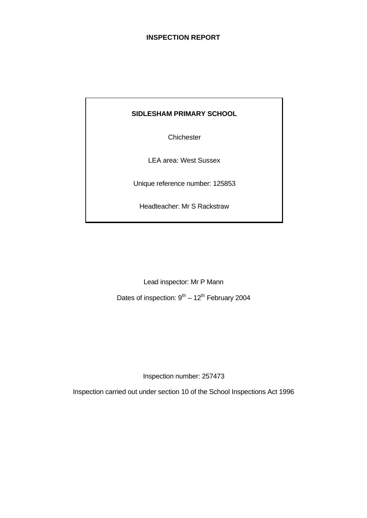# **INSPECTION REPORT**

# **SIDLESHAM PRIMARY SCHOOL**

**Chichester** 

LEA area: West Sussex

Unique reference number: 125853

Headteacher: Mr S Rackstraw

Lead inspector: Mr P Mann

Dates of inspection:  $9^{th} - 12^{th}$  February 2004

Inspection number: 257473

Inspection carried out under section 10 of the School Inspections Act 1996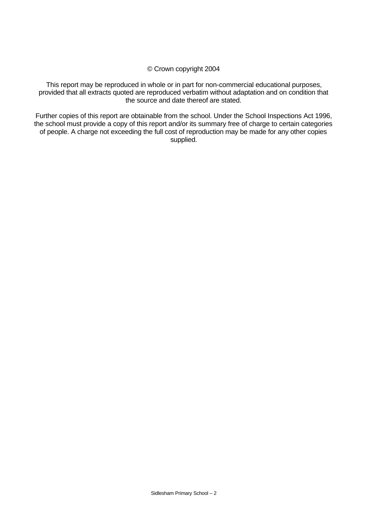#### © Crown copyright 2004

This report may be reproduced in whole or in part for non-commercial educational purposes, provided that all extracts quoted are reproduced verbatim without adaptation and on condition that the source and date thereof are stated.

Further copies of this report are obtainable from the school. Under the School Inspections Act 1996, the school must provide a copy of this report and/or its summary free of charge to certain categories of people. A charge not exceeding the full cost of reproduction may be made for any other copies supplied.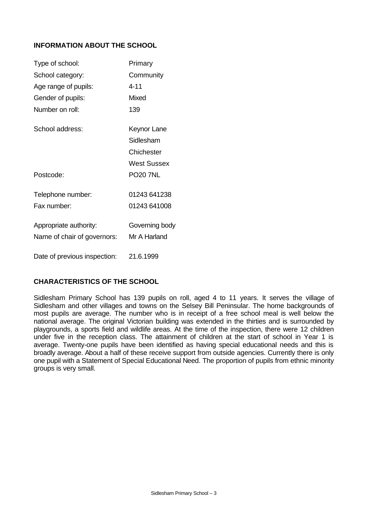# **INFORMATION ABOUT THE SCHOOL**

| Type of school:              | Primary         |
|------------------------------|-----------------|
| School category:             | Community       |
| Age range of pupils:         | $4 - 11$        |
| Gender of pupils:            | Mixed           |
| Number on roll:              | 139             |
| School address:              | Keynor Lane     |
|                              | Sidlesham       |
|                              | Chichester      |
|                              | West Sussex     |
| Postcode:                    | <b>PO20 7NL</b> |
| Telephone number:            | 01243 641238    |
| Fax number                   | 01243 641008    |
| Appropriate authority:       | Governing body  |
| Name of chair of governors:  | Mr A Harland    |
| Date of previous inspection: | 21.6.1999       |

# **CHARACTERISTICS OF THE SCHOOL**

Sidlesham Primary School has 139 pupils on roll, aged 4 to 11 years. It serves the village of Sidlesham and other villages and towns on the Selsey Bill Peninsular. The home backgrounds of most pupils are average. The number who is in receipt of a free school meal is well below the national average. The original Victorian building was extended in the thirties and is surrounded by playgrounds, a sports field and wildlife areas. At the time of the inspection, there were 12 children under five in the reception class. The attainment of children at the start of school in Year 1 is average. Twenty-one pupils have been identified as having special educational needs and this is broadly average. About a half of these receive support from outside agencies. Currently there is only one pupil with a Statement of Special Educational Need. The proportion of pupils from ethnic minority groups is very small.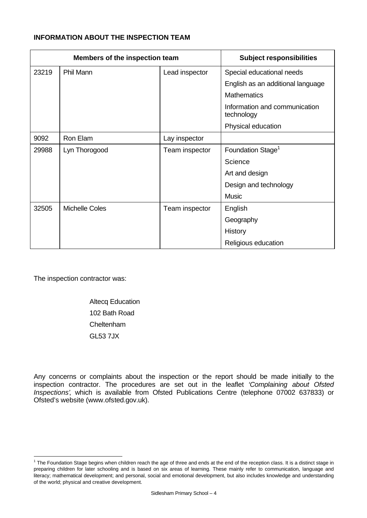# **INFORMATION ABOUT THE INSPECTION TEAM**

| Members of the inspection team |                       |                | <b>Subject responsibilities</b>             |
|--------------------------------|-----------------------|----------------|---------------------------------------------|
| 23219                          | <b>Phil Mann</b>      | Lead inspector | Special educational needs                   |
|                                |                       |                | English as an additional language           |
|                                |                       |                | <b>Mathematics</b>                          |
|                                |                       |                | Information and communication<br>technology |
|                                |                       |                | Physical education                          |
| 9092                           | Ron Elam              | Lay inspector  |                                             |
| 29988                          | Lyn Thorogood         | Team inspector | Foundation Stage <sup>1</sup>               |
|                                |                       |                | Science                                     |
|                                |                       |                | Art and design                              |
|                                |                       |                | Design and technology                       |
|                                |                       |                | <b>Music</b>                                |
| 32505                          | <b>Michelle Coles</b> | Team inspector | English                                     |
|                                |                       |                | Geography                                   |
|                                |                       |                | History                                     |
|                                |                       |                | Religious education                         |

The inspection contractor was:

l

Altecq Education 102 Bath Road Cheltenham GL53 7JX

Any concerns or complaints about the inspection or the report should be made initially to the inspection contractor. The procedures are set out in the leaflet *'Complaining about Ofsted Inspections'*, which is available from Ofsted Publications Centre (telephone 07002 637833) or Ofsted's website (www.ofsted.gov.uk).

 $1$  The Foundation Stage begins when children reach the age of three and ends at the end of the reception class. It is a distinct stage in preparing children for later schooling and is based on six areas of learning. These mainly refer to communication, language and literacy; mathematical development; and personal, social and emotional development, but also includes knowledge and understanding of the world; physical and creative development.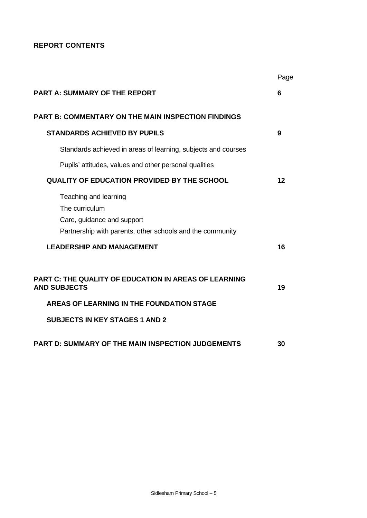# **REPORT CONTENTS**

|                                                                                                                                    | Page |
|------------------------------------------------------------------------------------------------------------------------------------|------|
| <b>PART A: SUMMARY OF THE REPORT</b>                                                                                               | 6    |
| <b>PART B: COMMENTARY ON THE MAIN INSPECTION FINDINGS</b>                                                                          |      |
| <b>STANDARDS ACHIEVED BY PUPILS</b>                                                                                                | 9    |
| Standards achieved in areas of learning, subjects and courses                                                                      |      |
| Pupils' attitudes, values and other personal qualities                                                                             |      |
| <b>QUALITY OF EDUCATION PROVIDED BY THE SCHOOL</b>                                                                                 | 12   |
| Teaching and learning<br>The curriculum<br>Care, guidance and support<br>Partnership with parents, other schools and the community |      |
| <b>LEADERSHIP AND MANAGEMENT</b>                                                                                                   | 16   |
| <b>PART C: THE QUALITY OF EDUCATION IN AREAS OF LEARNING</b><br><b>AND SUBJECTS</b>                                                | 19   |
| AREAS OF LEARNING IN THE FOUNDATION STAGE                                                                                          |      |
| <b>SUBJECTS IN KEY STAGES 1 AND 2</b>                                                                                              |      |
| <b>PART D: SUMMARY OF THE MAIN INSPECTION JUDGEMENTS</b>                                                                           | 30   |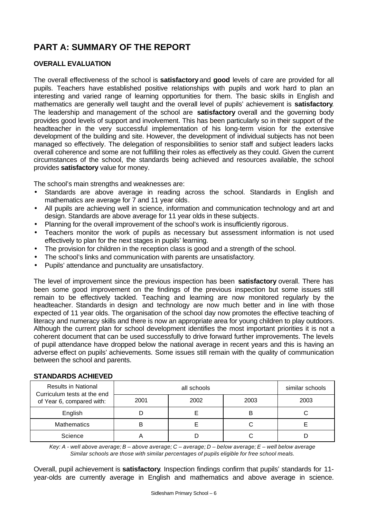# **PART A: SUMMARY OF THE REPORT**

# **OVERALL EVALUATION**

The overall effectiveness of the school is **satisfactory** and **good** levels of care are provided for all pupils. Teachers have established positive relationships with pupils and work hard to plan an interesting and varied range of learning opportunities for them. The basic skills in English and mathematics are generally well taught and the overall level of pupils' achievement is **satisfactory**. The leadership and management of the school are **satisfactory** overall and the governing body provides good levels of support and involvement. This has been particularly so in their support of the headteacher in the very successful implementation of his long-term vision for the extensive development of the building and site. However, the development of individual subjects has not been managed so effectively. The delegation of responsibilities to senior staff and subject leaders lacks overall coherence and some are not fulfilling their roles as effectively as they could. Given the current circumstances of the school, the standards being achieved and resources available, the school provides **satisfactory** value for money.

The school's main strengths and weaknesses are:

- Standards are above average in reading across the school. Standards in English and mathematics are average for 7 and 11 year olds.
- All pupils are achieving well in science, information and communication technology and art and design. Standards are above average for 11 year olds in these subjects.
- Planning for the overall improvement of the school's work is insufficiently rigorous.
- Teachers monitor the work of pupils as necessary but assessment information is not used effectively to plan for the next stages in pupils' learning.
- The provision for children in the reception class is good and a strength of the school.
- The school's links and communication with parents are unsatisfactory.
- Pupils' attendance and punctuality are unsatisfactory.

The level of improvement since the previous inspection has been **satisfactory** overall. There has been some good improvement on the findings of the previous inspection but some issues still remain to be effectively tackled. Teaching and learning are now monitored regularly by the headteacher. Standards in design and technology are now much better and in line with those expected of 11 year olds. The organisation of the school day now promotes the effective teaching of literacy and numeracy skills and there is now an appropriate area for young children to play outdoors. Although the current plan for school development identifies the most important priorities it is not a coherent document that can be used successfully to drive forward further improvements. The levels of pupil attendance have dropped below the national average in recent years and this is having an adverse effect on pupils' achievements. Some issues still remain with the quality of communication between the school and parents.

| <b>Results in National</b><br>Curriculum tests at the end |      | similar schools |      |      |
|-----------------------------------------------------------|------|-----------------|------|------|
| of Year 6, compared with:                                 | 2001 | 2002            | 2003 | 2003 |
| English                                                   |      |                 | В    |      |
| <b>Mathematics</b>                                        |      |                 |      |      |
| Science                                                   |      |                 |      |      |

# **STANDARDS ACHIEVED**

*Key: A - well above average; B – above average; C – average; D – below average; E – well below average Similar schools are those with similar percentages of pupils eligible for free school meals.*

Overall, pupil achievement is **satisfactory**. Inspection findings confirm that pupils' standards for 11 year-olds are currently average in English and mathematics and above average in science.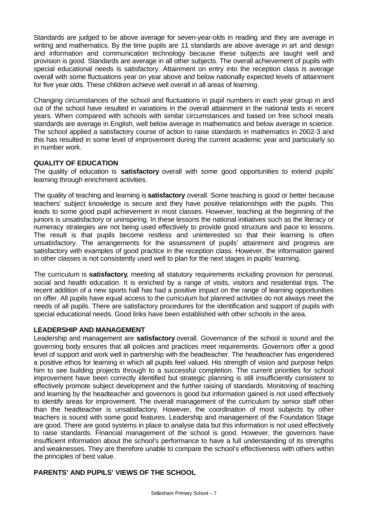Standards are judged to be above average for seven-year-olds in reading and they are average in writing and mathematics. By the time pupils are 11 standards are above average in art and design and information and communication technology because these subjects are taught well and provision is good. Standards are average in all other subjects. The overall achievement of pupils with special educational needs is satisfactory. Attainment on entry into the reception class is average overall with some fluctuations year on year above and below nationally expected levels of attainment for five year olds. These children achieve well overall in all areas of learning.

Changing circumstances of the school and fluctuations in pupil numbers in each year group in and out of the school have resulted in variations in the overall attainment in the national tests in recent years. When compared with schools with similar circumstances and based on free school meals standards are average in English, well below average in mathematics and below average in science. The school applied a satisfactory course of action to raise standards in mathematics in 2002-3 and this has resulted in some level of improvement during the current academic year and particularly so in number work.

# **QUALITY OF EDUCATION**

The quality of education is **satisfactory** overall with some good opportunities to extend pupils' learning through enrichment activities.

The quality of teaching and learning is **satisfactory** overall. Some teaching is good or better because teachers' subject knowledge is secure and they have positive relationships with the pupils. This leads to some good pupil achievement in most classes. However, teaching at the beginning of the juniors is unsatisfactory or uninspiring. In these lessons the national initiatives such as the literacy or numeracy strategies are not being used effectively to provide good structure and pace to lessons. The result is that pupils become restless and uninterested so that their learning is often unsatisfactory. The arrangements for the assessment of pupils' attainment and progress are satisfactory with examples of good practice in the reception class. However, the information gained in other classes is not consistently used well to plan for the next stages in pupils' learning.

The curriculum is **satisfactory**, meeting all statutory requirements including provision for personal, social and health education. It is enriched by a range of visits, visitors and residential trips. The recent addition of a new sports hall has had a positive impact on the range of learning opportunities on offer. All pupils have equal access to the curriculum but planned activities do not always meet the needs of all pupils. There are satisfactory procedures for the identification and support of pupils with special educational needs. Good links have been established with other schools in the area.

# **LEADERSHIP AND MANAGEMENT**

Leadership and management are **satisfactory** overall. Governance of the school is sound and the governing body ensures that all policies and practices meet requirements. Governors offer a good level of support and work well in partnership with the headteacher. The headteacher has engendered a positive ethos for learning in which all pupils feel valued. His strength of vision and purpose helps him to see building projects through to a successful completion. The current priorities for school improvement have been correctly identified but strategic planning is still insufficiently consistent to effectively promote subject development and the further raising of standards. Monitoring of teaching and learning by the headteacher and governors is good but information gained is not used effectively to identify areas for improvement. The overall management of the curriculum by senior staff other than the headteacher is unsatisfactory. However, the coordination of most subjects by other teachers is sound with some good features. Leadership and management of the Foundation Stage are good. There are good systems in place to analyse data but this information is not used effectively to raise standards. Financial management of the school is good. However, the governors have insufficient information about the school's performance to have a full understanding of its strengths and weaknesses. They are therefore unable to compare the school's effectiveness with others within the principles of best value.

# **PARENTS' AND PUPILS' VIEWS OF THE SCHOOL**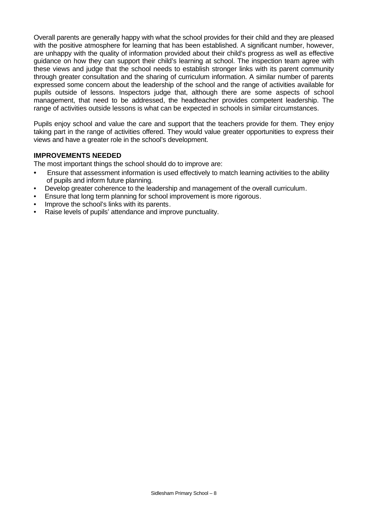Overall parents are generally happy with what the school provides for their child and they are pleased with the positive atmosphere for learning that has been established. A significant number, however, are unhappy with the quality of information provided about their child's progress as well as effective guidance on how they can support their child's learning at school. The inspection team agree with these views and judge that the school needs to establish stronger links with its parent community through greater consultation and the sharing of curriculum information. A similar number of parents expressed some concern about the leadership of the school and the range of activities available for pupils outside of lessons. Inspectors judge that, although there are some aspects of school management, that need to be addressed, the headteacher provides competent leadership. The range of activities outside lessons is what can be expected in schools in similar circumstances.

Pupils enjoy school and value the care and support that the teachers provide for them. They enjoy taking part in the range of activities offered. They would value greater opportunities to express their views and have a greater role in the school's development.

# **IMPROVEMENTS NEEDED**

The most important things the school should do to improve are:

- Ensure that assessment information is used effectively to match learning activities to the ability of pupils and inform future planning.
- Develop greater coherence to the leadership and management of the overall curriculum.
- Ensure that long term planning for school improvement is more rigorous.
- Improve the school's links with its parents.
- Raise levels of pupils' attendance and improve punctuality.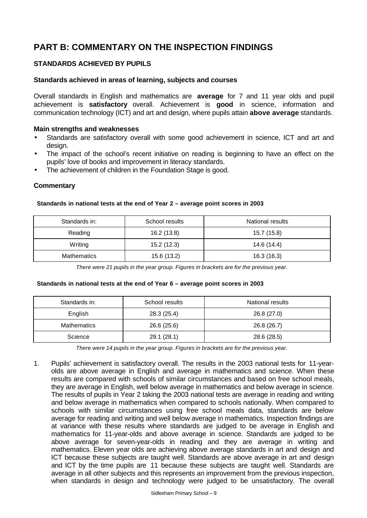# **PART B: COMMENTARY ON THE INSPECTION FINDINGS**

# **STANDARDS ACHIEVED BY PUPILS**

#### **Standards achieved in areas of learning, subjects and courses**

Overall standards in English and mathematics are **average** for 7 and 11 year olds and pupil achievement is **satisfactory** overall. Achievement is **good** in science, information and communication technology (ICT) and art and design, where pupils attain **above average** standards.

#### **Main strengths and weaknesses**

- Standards are satisfactory overall with some good achievement in science, ICT and art and design.
- The impact of the school's recent initiative on reading is beginning to have an effect on the pupils' love of books and improvement in literacy standards.
- The achievement of children in the Foundation Stage is good.

#### **Commentary**

#### **Standards in national tests at the end of Year 2 – average point scores in 2003**

| Standards in:      | School results | National results |
|--------------------|----------------|------------------|
| Reading            | 16.2 (13.8)    | 15.7 (15.8)      |
| Writing            | 15.2 (12.3)    | 14.6 (14.4)      |
| <b>Mathematics</b> | 15.6 (13.2)    | 16.3(16.3)       |

*There were 21 pupils in the year group. Figures in brackets are for the previous year.*

#### **Standards in national tests at the end of Year 6 – average point scores in 2003**

| Standards in:      | School results | National results |
|--------------------|----------------|------------------|
| English            | 28.3 (25.4)    | 26.8 (27.0)      |
| <b>Mathematics</b> | 26.6 (25.6)    | 26.8 (26.7)      |
| Science            | 29.1 (28.1)    | 28.6 (28.5)      |

*There were 14 pupils in the year group. Figures in brackets are for the previous year.*

1. Pupils' achievement is satisfactory overall. The results in the 2003 national tests for 11-yearolds are above average in English and average in mathematics and science. When these results are compared with schools of similar circumstances and based on free school meals, they are average in English, well below average in mathematics and below average in science. The results of pupils in Year 2 taking the 2003 national tests are average in reading and writing and below average in mathematics when compared to schools nationally. When compared to schools with similar circumstances using free school meals data, standards are below average for reading and writing and well below average in mathematics. Inspection findings are at variance with these results where standards are judged to be average in English and mathematics for 11-year-olds and above average in science. Standards are judged to be above average for seven-year-olds in reading and they are average in writing and mathematics. Eleven year olds are achieving above average standards in art and design and ICT because these subjects are taught well. Standards are above average in art and design and ICT by the time pupils are 11 because these subjects are taught well. Standards are average in all other subjects and this represents an improvement from the previous inspection, when standards in design and technology were judged to be unsatisfactory. The overall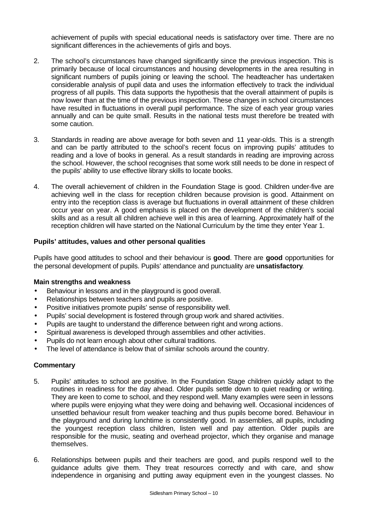achievement of pupils with special educational needs is satisfactory over time. There are no significant differences in the achievements of girls and boys.

- 2. The school's circumstances have changed significantly since the previous inspection. This is primarily because of local circumstances and housing developments in the area resulting in significant numbers of pupils joining or leaving the school. The headteacher has undertaken considerable analysis of pupil data and uses the information effectively to track the individual progress of all pupils. This data supports the hypothesis that the overall attainment of pupils is now lower than at the time of the previous inspection. These changes in school circumstances have resulted in fluctuations in overall pupil performance. The size of each year group varies annually and can be quite small. Results in the national tests must therefore be treated with some caution.
- 3. Standards in reading are above average for both seven and 11 year-olds. This is a strength and can be partly attributed to the school's recent focus on improving pupils' attitudes to reading and a love of books in general. As a result standards in reading are improving across the school. However, the school recognises that some work still needs to be done in respect of the pupils' ability to use effective library skills to locate books.
- 4. The overall achievement of children in the Foundation Stage is good. Children under-five are achieving well in the class for reception children because provision is good. Attainment on entry into the reception class is average but fluctuations in overall attainment of these children occur year on year. A good emphasis is placed on the development of the children's social skills and as a result all children achieve well in this area of learning. Approximately half of the reception children will have started on the National Curriculum by the time they enter Year 1.

#### **Pupils' attitudes, values and other personal qualities**

Pupils have good attitudes to school and their behaviour is **good**. There are **good** opportunities for the personal development of pupils. Pupils' attendance and punctuality are **unsatisfactory**.

#### **Main strengths and weakness**

- Behaviour in lessons and in the playground is good overall.
- Relationships between teachers and pupils are positive.
- Positive initiatives promote pupils' sense of responsibility well.
- Pupils' social development is fostered through group work and shared activities.
- Pupils are taught to understand the difference between right and wrong actions.
- Spiritual awareness is developed through assemblies and other activities.
- Pupils do not learn enough about other cultural traditions.
- The level of attendance is below that of similar schools around the country.

- 5. Pupils' attitudes to school are positive. In the Foundation Stage children quickly adapt to the routines in readiness for the day ahead. Older pupils settle down to quiet reading or writing. They are keen to come to school, and they respond well. Many examples were seen in lessons where pupils were enjoying what they were doing and behaving well. Occasional incidences of unsettled behaviour result from weaker teaching and thus pupils become bored. Behaviour in the playground and during lunchtime is consistently good. In assemblies, all pupils, including the youngest reception class children, listen well and pay attention. Older pupils are responsible for the music, seating and overhead projector, which they organise and manage themselves.
- 6. Relationships between pupils and their teachers are good, and pupils respond well to the guidance adults give them. They treat resources correctly and with care, and show independence in organising and putting away equipment even in the youngest classes. No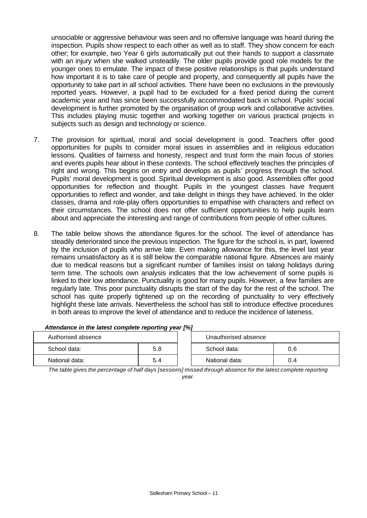unsociable or aggressive behaviour was seen and no offensive language was heard during the inspection. Pupils show respect to each other as well as to staff. They show concern for each other; for example, two Year 6 girls automatically put out their hands to support a classmate with an injury when she walked unsteadily. The older pupils provide good role models for the younger ones to emulate. The impact of these positive relationships is that pupils understand how important it is to take care of people and property, and consequently all pupils have the opportunity to take part in all school activities. There have been no exclusions in the previously reported years. However, a pupil had to be excluded for a fixed period during the current academic year and has since been successfully accommodated back in school. Pupils' social development is further promoted by the organisation of group work and collaborative activities. This includes playing music together and working together on various practical projects in subjects such as design and technology or science.

- 7. The provision for spiritual, moral and social development is good. Teachers offer good opportunities for pupils to consider moral issues in assemblies and in religious education lessons. Qualities of fairness and honesty, respect and trust form the main focus of stories and events pupils hear about in these contexts. The school effectively teaches the principles of right and wrong. This begins on entry and develops as pupils' progress through the school. Pupils' moral development is good. Spiritual development is also good. Assemblies offer good opportunities for reflection and thought. Pupils in the youngest classes have frequent opportunities to reflect and wonder, and take delight in things they have achieved. In the older classes, drama and role-play offers opportunities to empathise with characters and reflect on their circumstances. The school does not offer sufficient opportunities to help pupils learn about and appreciate the interesting and range of contributions from people of other cultures.
- 8. The table below shows the attendance figures for the school. The level of attendance has steadily deteriorated since the previous inspection. The figure for the school is, in part, lowered by the inclusion of pupils who arrive late. Even making allowance for this, the level last year remains unsatisfactory as it is still below the comparable national figure. Absences are mainly due to medical reasons but a significant number of families insist on taking holidays during term time. The schools own analysis indicates that the low achievement of some pupils is linked to their low attendance. Punctuality is good for many pupils. However, a few families are regularly late. This poor punctuality disrupts the start of the day for the rest of the school. The school has quite properly tightened up on the recording of punctuality to very effectively highlight these late arrivals. Nevertheless the school has still to introduce effective procedures in both areas to improve the level of attendance and to reduce the incidence of lateness.

| Authorised absence |     | Unauthorised absence |     |
|--------------------|-----|----------------------|-----|
| School data:       | 5.8 | School data:         | 0.6 |
| National data:     | 5.4 | National data:       | 0.4 |

#### *Attendance in the latest complete reporting year [%]*

*The table gives the percentage of half days [sessions] missed through absence for the latest complete reporting year.*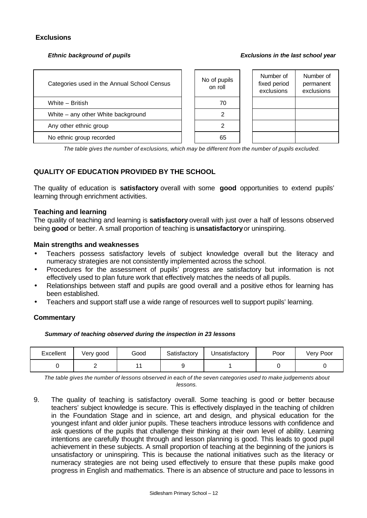#### **Exclusions**

#### *Ethnic background of pupils Exclusions in the last school year*

| Categories used in the Annual School Census | No of pupils<br>on roll |
|---------------------------------------------|-------------------------|
| White - British                             |                         |
| White – any other White background          |                         |
| Any other ethnic group                      |                         |
| No ethnic group recorded                    |                         |

| lo of pupils<br>on roll | Number of<br>fixed period<br>exclusions | Number of<br>permanent<br>exclusions |
|-------------------------|-----------------------------------------|--------------------------------------|
| 70                      |                                         |                                      |
|                         |                                         |                                      |
|                         |                                         |                                      |
|                         |                                         |                                      |

*The table gives the number of exclusions, which may be different from the number of pupils excluded.*

# **QUALITY OF EDUCATION PROVIDED BY THE SCHOOL**

The quality of education is **satisfactory** overall with some **good** opportunities to extend pupils' learning through enrichment activities.

#### **Teaching and learning**

The quality of teaching and learning is **satisfactory** overall with just over a half of lessons observed being **good** or better. A small proportion of teaching is **unsatisfactory** or uninspiring.

#### **Main strengths and weaknesses**

- Teachers possess satisfactory levels of subject knowledge overall but the literacy and numeracy strategies are not consistently implemented across the school.
- Procedures for the assessment of pupils' progress are satisfactory but information is not effectively used to plan future work that effectively matches the needs of all pupils.
- Relationships between staff and pupils are good overall and a positive ethos for learning has been established.
- Teachers and support staff use a wide range of resources well to support pupils' learning.

#### **Commentary**

#### *Summary of teaching observed during the inspection in 23 lessons*

| Excellent | Very good | Good | Satisfactory | Jnsatisfactory | Poor | Very Poor |
|-----------|-----------|------|--------------|----------------|------|-----------|
|           |           |      |              |                |      |           |

*The table gives the number of lessons observed in each of the seven categories used to make judgements about lessons.*

9. The quality of teaching is satisfactory overall. Some teaching is good or better because teachers' subject knowledge is secure. This is effectively displayed in the teaching of children in the Foundation Stage and in science, art and design, and physical education for the youngest infant and older junior pupils. These teachers introduce lessons with confidence and ask questions of the pupils that challenge their thinking at their own level of ability. Learning intentions are carefully thought through and lesson planning is good. This leads to good pupil achievement in these subjects. A small proportion of teaching at the beginning of the juniors is unsatisfactory or uninspiring. This is because the national initiatives such as the literacy or numeracy strategies are not being used effectively to ensure that these pupils make good progress in English and mathematics. There is an absence of structure and pace to lessons in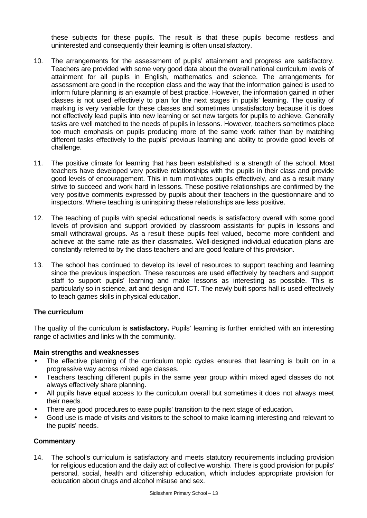these subjects for these pupils. The result is that these pupils become restless and uninterested and consequently their learning is often unsatisfactory.

- 10. The arrangements for the assessment of pupils' attainment and progress are satisfactory. Teachers are provided with some very good data about the overall national curriculum levels of attainment for all pupils in English, mathematics and science. The arrangements for assessment are good in the reception class and the way that the information gained is used to inform future planning is an example of best practice. However, the information gained in other classes is not used effectively to plan for the next stages in pupils' learning. The quality of marking is very variable for these classes and sometimes unsatisfactory because it is does not effectively lead pupils into new learning or set new targets for pupils to achieve. Generally tasks are well matched to the needs of pupils in lessons. However, teachers sometimes place too much emphasis on pupils producing more of the same work rather than by matching different tasks effectively to the pupils' previous learning and ability to provide good levels of challenge.
- 11. The positive climate for learning that has been established is a strength of the school. Most teachers have developed very positive relationships with the pupils in their class and provide good levels of encouragement. This in turn motivates pupils effectively, and as a result many strive to succeed and work hard in lessons. These positive relationships are confirmed by the very positive comments expressed by pupils about their teachers in the questionnaire and to inspectors. Where teaching is uninspiring these relationships are less positive.
- 12. The teaching of pupils with special educational needs is satisfactory overall with some good levels of provision and support provided by classroom assistants for pupils in lessons and small withdrawal groups. As a result these pupils feel valued, become more confident and achieve at the same rate as their classmates. Well-designed individual education plans are constantly referred to by the class teachers and are good feature of this provision.
- 13. The school has continued to develop its level of resources to support teaching and learning since the previous inspection. These resources are used effectively by teachers and support staff to support pupils' learning and make lessons as interesting as possible. This is particularly so in science, art and design and ICT. The newly built sports hall is used effectively to teach games skills in physical education.

# **The curriculum**

The quality of the curriculum is **satisfactory.** Pupils' learning is further enriched with an interesting range of activities and links with the community.

# **Main strengths and weaknesses**

- The effective planning of the curriculum topic cycles ensures that learning is built on in a progressive way across mixed age classes.
- Teachers teaching different pupils in the same year group within mixed aged classes do not always effectively share planning.
- All pupils have equal access to the curriculum overall but sometimes it does not always meet their needs.
- There are good procedures to ease pupils' transition to the next stage of education.
- Good use is made of visits and visitors to the school to make learning interesting and relevant to the pupils' needs.

# **Commentary**

14. The school's curriculum is satisfactory and meets statutory requirements including provision for religious education and the daily act of collective worship. There is good provision for pupils' personal, social, health and citizenship education, which includes appropriate provision for education about drugs and alcohol misuse and sex.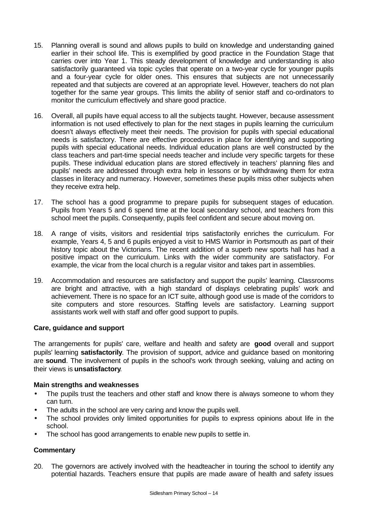- 15. Planning overall is sound and allows pupils to build on knowledge and understanding gained earlier in their school life. This is exemplified by good practice in the Foundation Stage that carries over into Year 1. This steady development of knowledge and understanding is also satisfactorily guaranteed via topic cycles that operate on a two-year cycle for younger pupils and a four-year cycle for older ones. This ensures that subjects are not unnecessarily repeated and that subjects are covered at an appropriate level. However, teachers do not plan together for the same year groups. This limits the ability of senior staff and co-ordinators to monitor the curriculum effectively and share good practice.
- 16. Overall, all pupils have equal access to all the subjects taught. However, because assessment information is not used effectively to plan for the next stages in pupils learning the curriculum doesn't always effectively meet their needs. The provision for pupils with special educational needs is satisfactory. There are effective procedures in place for identifying and supporting pupils with special educational needs. Individual education plans are well constructed by the class teachers and part-time special needs teacher and include very specific targets for these pupils. These individual education plans are stored effectively in teachers' planning files and pupils' needs are addressed through extra help in lessons or by withdrawing them for extra classes in literacy and numeracy. However, sometimes these pupils miss other subjects when they receive extra help.
- 17. The school has a good programme to prepare pupils for subsequent stages of education. Pupils from Years 5 and 6 spend time at the local secondary school, and teachers from this school meet the pupils. Consequently, pupils feel confident and secure about moving on.
- 18. A range of visits, visitors and residential trips satisfactorily enriches the curriculum. For example, Years 4, 5 and 6 pupils enjoyed a visit to HMS Warrior in Portsmouth as part of their history topic about the Victorians. The recent addition of a superb new sports hall has had a positive impact on the curriculum. Links with the wider community are satisfactory. For example, the vicar from the local church is a regular visitor and takes part in assemblies.
- 19. Accommodation and resources are satisfactory and support the pupils' learning. Classrooms are bright and attractive, with a high standard of displays celebrating pupils' work and achievement. There is no space for an ICT suite, although good use is made of the corridors to site computers and store resources. Staffing levels are satisfactory. Learning support assistants work well with staff and offer good support to pupils.

# **Care, guidance and support**

The arrangements for pupils' care, welfare and health and safety are **good** overall and support pupils' learning **satisfactorily**. The provision of support, advice and guidance based on monitoring are **sound**. The involvement of pupils in the school's work through seeking, valuing and acting on their views is **unsatisfactory**.

# **Main strengths and weaknesses**

- The pupils trust the teachers and other staff and know there is always someone to whom they can turn.
- The adults in the school are very caring and know the pupils well.
- The school provides only limited opportunities for pupils to express opinions about life in the school.
- The school has good arrangements to enable new pupils to settle in.

# **Commentary**

20. The governors are actively involved with the headteacher in touring the school to identify any potential hazards. Teachers ensure that pupils are made aware of health and safety issues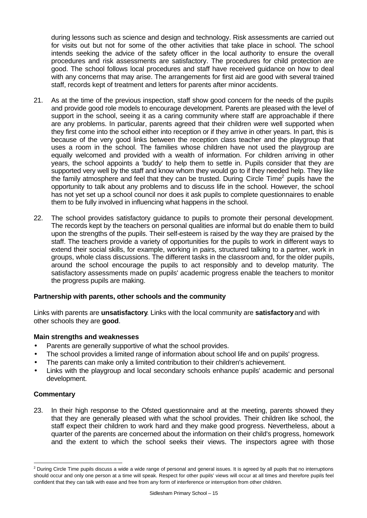during lessons such as science and design and technology. Risk assessments are carried out for visits out but not for some of the other activities that take place in school. The school intends seeking the advice of the safety officer in the local authority to ensure the overall procedures and risk assessments are satisfactory. The procedures for child protection are good. The school follows local procedures and staff have received guidance on how to deal with any concerns that may arise. The arrangements for first aid are good with several trained staff, records kept of treatment and letters for parents after minor accidents.

- 21. As at the time of the previous inspection, staff show good concern for the needs of the pupils and provide good role models to encourage development. Parents are pleased with the level of support in the school, seeing it as a caring community where staff are approachable if there are any problems. In particular, parents agreed that their children were well supported when they first come into the school either into reception or if they arrive in other years. In part, this is because of the very good links between the reception class teacher and the playgroup that uses a room in the school. The families whose children have not used the playgroup are equally welcomed and provided with a wealth of information. For children arriving in other years, the school appoints a 'buddy' to help them to settle in. Pupils consider that they are supported very well by the staff and know whom they would go to if they needed help. They like the family atmosphere and feel that they can be trusted. During Circle Time<sup>2</sup> pupils have the opportunity to talk about any problems and to discuss life in the school. However, the school has not yet set up a school council nor does it ask pupils to complete questionnaires to enable them to be fully involved in influencing what happens in the school.
- 22. The school provides satisfactory guidance to pupils to promote their personal development. The records kept by the teachers on personal qualities are informal but do enable them to build upon the strengths of the pupils. Their self-esteem is raised by the way they are praised by the staff. The teachers provide a variety of opportunities for the pupils to work in different ways to extend their social skills, for example, working in pairs, structured talking to a partner, work in groups, whole class discussions. The different tasks in the classroom and, for the older pupils, around the school encourage the pupils to act responsibly and to develop maturity. The satisfactory assessments made on pupils' academic progress enable the teachers to monitor the progress pupils are making.

# **Partnership with parents, other schools and the community**

Links with parents are **unsatisfactory**. Links with the local community are **satisfactory** and with other schools they are **good**.

#### **Main strengths and weaknesses**

- Parents are generally supportive of what the school provides.
- The school provides a limited range of information about school life and on pupils' progress.
- The parents can make only a limited contribution to their children's achievement.
- Links with the playgroup and local secondary schools enhance pupils' academic and personal development.

# **Commentary**

l

23. In their high response to the Ofsted questionnaire and at the meeting, parents showed they that they are generally pleased with what the school provides. Their children like school, the staff expect their children to work hard and they make good progress. Nevertheless, about a quarter of the parents are concerned about the information on their child's progress, homework and the extent to which the school seeks their views. The inspectors agree with those

 $<sup>2</sup>$  During Circle Time pupils discuss a wide a wide range of personal and general issues. It is agreed by all pupils that no interruptions</sup> should occur and only one person at a time will speak. Respect for other pupils' views will occur at all times and therefore pupils feel confident that they can talk with ease and free from any form of interference or interruption from other children.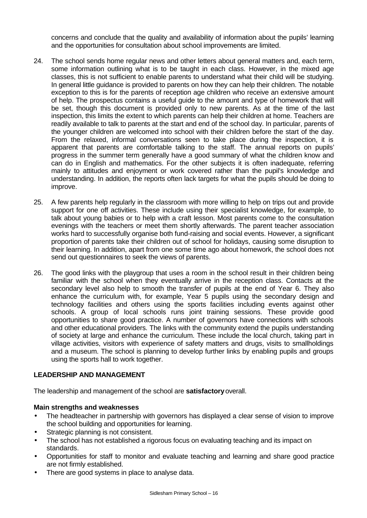concerns and conclude that the quality and availability of information about the pupils' learning and the opportunities for consultation about school improvements are limited.

- 24. The school sends home regular news and other letters about general matters and, each term, some information outlining what is to be taught in each class. However, in the mixed age classes, this is not sufficient to enable parents to understand what their child will be studying. In general little guidance is provided to parents on how they can help their children. The notable exception to this is for the parents of reception age children who receive an extensive amount of help. The prospectus contains a useful guide to the amount and type of homework that will be set, though this document is provided only to new parents. As at the time of the last inspection, this limits the extent to which parents can help their children at home. Teachers are readily available to talk to parents at the start and end of the school day. In particular, parents of the younger children are welcomed into school with their children before the start of the day. From the relaxed, informal conversations seen to take place during the inspection, it is apparent that parents are comfortable talking to the staff. The annual reports on pupils' progress in the summer term generally have a good summary of what the children know and can do in English and mathematics. For the other subjects it is often inadequate, referring mainly to attitudes and enjoyment or work covered rather than the pupil's knowledge and understanding. In addition, the reports often lack targets for what the pupils should be doing to improve.
- 25. A few parents help regularly in the classroom with more willing to help on trips out and provide support for one off activities. These include using their specialist knowledge, for example, to talk about young babies or to help with a craft lesson. Most parents come to the consultation evenings with the teachers or meet them shortly afterwards. The parent teacher association works hard to successfully organise both fund-raising and social events. However, a significant proportion of parents take their children out of school for holidays, causing some disruption to their learning. In addition, apart from one some time ago about homework, the school does not send out questionnaires to seek the views of parents.
- 26. The good links with the playgroup that uses a room in the school result in their children being familiar with the school when they eventually arrive in the reception class. Contacts at the secondary level also help to smooth the transfer of pupils at the end of Year 6. They also enhance the curriculum with, for example, Year 5 pupils using the secondary design and technology facilities and others using the sports facilities including events against other schools. A group of local schools runs joint training sessions. These provide good opportunities to share good practice. A number of governors have connections with schools and other educational providers. The links with the community extend the pupils understanding of society at large and enhance the curriculum. These include the local church, taking part in village activities, visitors with experience of safety matters and drugs, visits to smallholdings and a museum. The school is planning to develop further links by enabling pupils and groups using the sports hall to work together.

# **LEADERSHIP AND MANAGEMENT**

The leadership and management of the school are **satisfactory** overall.

#### **Main strengths and weaknesses**

- The headteacher in partnership with governors has displayed a clear sense of vision to improve the school building and opportunities for learning.
- Strategic planning is not consistent.
- The school has not established a rigorous focus on evaluating teaching and its impact on standards.
- Opportunities for staff to monitor and evaluate teaching and learning and share good practice are not firmly established.
- There are good systems in place to analyse data.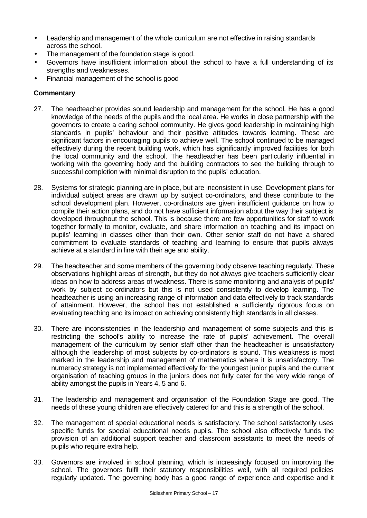- Leadership and management of the whole curriculum are not effective in raising standards across the school.
- The management of the foundation stage is good.
- Governors have insufficient information about the school to have a full understanding of its strengths and weaknesses.
- Financial management of the school is good

- 27. The headteacher provides sound leadership and management for the school. He has a good knowledge of the needs of the pupils and the local area. He works in close partnership with the governors to create a caring school community. He gives good leadership in maintaining high standards in pupils' behaviour and their positive attitudes towards learning. These are significant factors in encouraging pupils to achieve well. The school continued to be managed effectively during the recent building work, which has significantly improved facilities for both the local community and the school. The headteacher has been particularly influential in working with the governing body and the building contractors to see the building through to successful completion with minimal disruption to the pupils' education.
- 28. Systems for strategic planning are in place, but are inconsistent in use. Development plans for individual subject areas are drawn up by subject co-ordinators, and these contribute to the school development plan. However, co-ordinators are given insufficient guidance on how to compile their action plans, and do not have sufficient information about the way their subject is developed throughout the school. This is because there are few opportunities for staff to work together formally to monitor, evaluate, and share information on teaching and its impact on pupils' learning in classes other than their own. Other senior staff do not have a shared commitment to evaluate standards of teaching and learning to ensure that pupils always achieve at a standard in line with their age and ability.
- 29. The headteacher and some members of the governing body observe teaching regularly. These observations highlight areas of strength, but they do not always give teachers sufficiently clear ideas on how to address areas of weakness. There is some monitoring and analysis of pupils' work by subject co-ordinators but this is not used consistently to develop learning. The headteacher is using an increasing range of information and data effectively to track standards of attainment. However, the school has not established a sufficiently rigorous focus on evaluating teaching and its impact on achieving consistently high standards in all classes.
- 30. There are inconsistencies in the leadership and management of some subjects and this is restricting the school's ability to increase the rate of pupils' achievement. The overall management of the curriculum by senior staff other than the headteacher is unsatisfactory although the leadership of most subjects by co-ordinators is sound. This weakness is most marked in the leadership and management of mathematics where it is unsatisfactory. The numeracy strategy is not implemented effectively for the youngest junior pupils and the current organisation of teaching groups in the juniors does not fully cater for the very wide range of ability amongst the pupils in Years 4, 5 and 6.
- 31. The leadership and management and organisation of the Foundation Stage are good. The needs of these young children are effectively catered for and this is a strength of the school.
- 32. The management of special educational needs is satisfactory. The school satisfactorily uses specific funds for special educational needs pupils. The school also effectively funds the provision of an additional support teacher and classroom assistants to meet the needs of pupils who require extra help.
- 33. Governors are involved in school planning, which is increasingly focused on improving the school. The governors fulfil their statutory responsibilities well, with all required policies regularly updated. The governing body has a good range of experience and expertise and it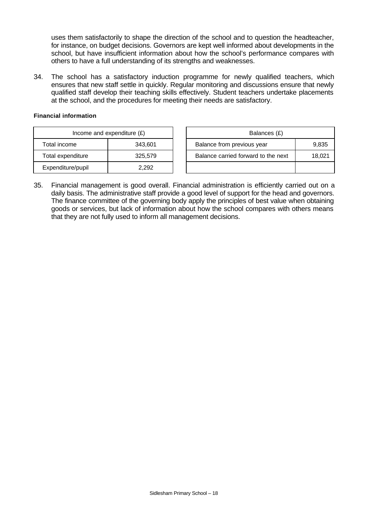uses them satisfactorily to shape the direction of the school and to question the headteacher, for instance, on budget decisions. Governors are kept well informed about developments in the school, but have insufficient information about how the school's performance compares with others to have a full understanding of its strengths and weaknesses.

34. The school has a satisfactory induction programme for newly qualified teachers, which ensures that new staff settle in quickly. Regular monitoring and discussions ensure that newly qualified staff develop their teaching skills effectively. Student teachers undertake placements at the school, and the procedures for meeting their needs are satisfactory.

#### **Financial information**

| Income and expenditure $(E)$ |         |  | Balances (£)                      |
|------------------------------|---------|--|-----------------------------------|
| Total income                 | 343,601 |  | Balance from previous year        |
| Total expenditure            | 325,579 |  | Balance carried forward to the ne |
| Expenditure/pupil            | 2.292   |  |                                   |

| Income and expenditure $(E)$ |         | Balances (£)                        |        |  |
|------------------------------|---------|-------------------------------------|--------|--|
| Total income                 | 343.601 | Balance from previous year          | 9,835  |  |
| Total expenditure            | 325,579 | Balance carried forward to the next | 18,021 |  |
| Expenditure/pupil            | 2,292   |                                     |        |  |

35. Financial management is good overall. Financial administration is efficiently carried out on a daily basis. The administrative staff provide a good level of support for the head and governors. The finance committee of the governing body apply the principles of best value when obtaining goods or services, but lack of information about how the school compares with others means that they are not fully used to inform all management decisions.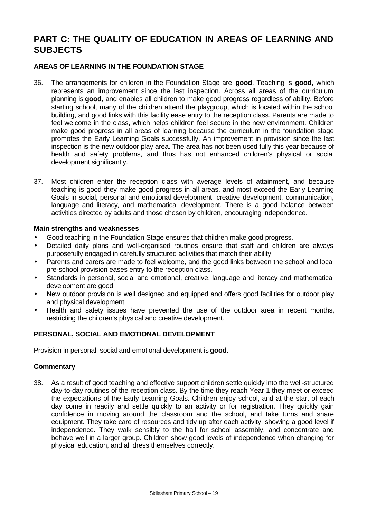# **PART C: THE QUALITY OF EDUCATION IN AREAS OF LEARNING AND SUBJECTS**

# **AREAS OF LEARNING IN THE FOUNDATION STAGE**

- 36. The arrangements for children in the Foundation Stage are **good**. Teaching is **good**, which represents an improvement since the last inspection. Across all areas of the curriculum planning is **good**, and enables all children to make good progress regardless of ability. Before starting school, many of the children attend the playgroup, which is located within the school building, and good links with this facility ease entry to the reception class. Parents are made to feel welcome in the class, which helps children feel secure in the new environment. Children make good progress in all areas of learning because the curriculum in the foundation stage promotes the Early Learning Goals successfully. An improvement in provision since the last inspection is the new outdoor play area. The area has not been used fully this year because of health and safety problems, and thus has not enhanced children's physical or social development significantly.
- 37. Most children enter the reception class with average levels of attainment, and because teaching is good they make good progress in all areas, and most exceed the Early Learning Goals in social, personal and emotional development, creative development, communication, language and literacy, and mathematical development. There is a good balance between activities directed by adults and those chosen by children, encouraging independence.

#### **Main strengths and weaknesses**

- Good teaching in the Foundation Stage ensures that children make good progress.
- Detailed daily plans and well-organised routines ensure that staff and children are always purposefully engaged in carefully structured activities that match their ability.
- Parents and carers are made to feel welcome, and the good links between the school and local pre-school provision eases entry to the reception class.
- Standards in personal, social and emotional, creative, language and literacy and mathematical development are good.
- New outdoor provision is well designed and equipped and offers good facilities for outdoor play and physical development.
- Health and safety issues have prevented the use of the outdoor area in recent months, restricting the children's physical and creative development.

# **PERSONAL, SOCIAL AND EMOTIONAL DEVELOPMENT**

Provision in personal, social and emotional development is **good**.

#### **Commentary**

38. As a result of good teaching and effective support children settle quickly into the well-structured day-to-day routines of the reception class. By the time they reach Year 1 they meet or exceed the expectations of the Early Learning Goals. Children enjoy school, and at the start of each day come in readily and settle quickly to an activity or for registration. They quickly gain confidence in moving around the classroom and the school, and take turns and share equipment. They take care of resources and tidy up after each activity, showing a good level if independence. They walk sensibly to the hall for school assembly, and concentrate and behave well in a larger group. Children show good levels of independence when changing for physical education, and all dress themselves correctly.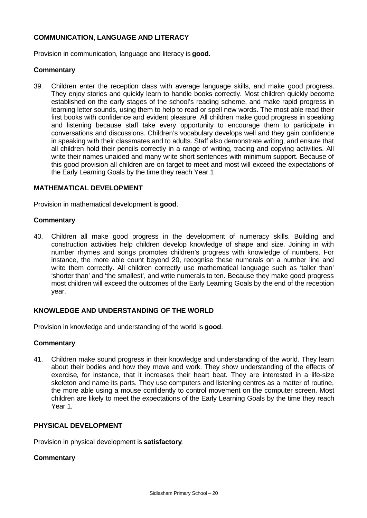# **COMMUNICATION, LANGUAGE AND LITERACY**

Provision in communication, language and literacy is **good.**

#### **Commentary**

39. Children enter the reception class with average language skills, and make good progress. They enjoy stories and quickly learn to handle books correctly. Most children quickly become established on the early stages of the school's reading scheme, and make rapid progress in learning letter sounds, using them to help to read or spell new words. The most able read their first books with confidence and evident pleasure. All children make good progress in speaking and listening because staff take every opportunity to encourage them to participate in conversations and discussions. Children's vocabulary develops well and they gain confidence in speaking with their classmates and to adults. Staff also demonstrate writing, and ensure that all children hold their pencils correctly in a range of writing, tracing and copying activities. All write their names unaided and many write short sentences with minimum support. Because of this good provision all children are on target to meet and most will exceed the expectations of the Early Learning Goals by the time they reach Year 1

#### **MATHEMATICAL DEVELOPMENT**

Provision in mathematical development is **good**.

#### **Commentary**

40. Children all make good progress in the development of numeracy skills. Building and construction activities help children develop knowledge of shape and size. Joining in with number rhymes and songs promotes children's progress with knowledge of numbers. For instance, the more able count beyond 20, recognise these numerals on a number line and write them correctly. All children correctly use mathematical language such as 'taller than' 'shorter than' and 'the smallest', and write numerals to ten. Because they make good progress most children will exceed the outcomes of the Early Learning Goals by the end of the reception year.

# **KNOWLEDGE AND UNDERSTANDING OF THE WORLD**

Provision in knowledge and understanding of the world is **good**.

#### **Commentary**

41. Children make sound progress in their knowledge and understanding of the world. They learn about their bodies and how they move and work. They show understanding of the effects of exercise, for instance, that it increases their heart beat. They are interested in a life-size skeleton and name its parts. They use computers and listening centres as a matter of routine, the more able using a mouse confidently to control movement on the computer screen. Most children are likely to meet the expectations of the Early Learning Goals by the time they reach Year 1.

# **PHYSICAL DEVELOPMENT**

Provision in physical development is **satisfactory**.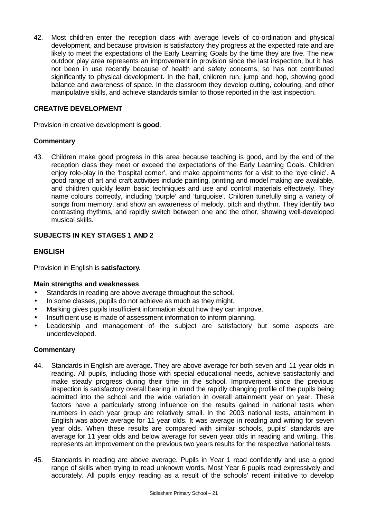42. Most children enter the reception class with average levels of co-ordination and physical development, and because provision is satisfactory they progress at the expected rate and are likely to meet the expectations of the Early Learning Goals by the time they are five. The new outdoor play area represents an improvement in provision since the last inspection, but it has not been in use recently because of health and safety concerns, so has not contributed significantly to physical development. In the hall, children run, jump and hop, showing good balance and awareness of space. In the classroom they develop cutting, colouring, and other manipulative skills, and achieve standards similar to those reported in the last inspection.

# **CREATIVE DEVELOPMENT**

Provision in creative development is **good**.

#### **Commentary**

43. Children make good progress in this area because teaching is good, and by the end of the reception class they meet or exceed the expectations of the Early Learning Goals. Children enjoy role-play in the 'hospital corner', and make appointments for a visit to the 'eye clinic'. A good range of art and craft activities include painting, printing and model making are available, and children quickly learn basic techniques and use and control materials effectively. They name colours correctly, including 'purple' and 'turquoise'. Children tunefully sing a variety of songs from memory, and show an awareness of melody, pitch and rhythm. They identify two contrasting rhythms, and rapidly switch between one and the other, showing well-developed musical skills.

# **SUBJECTS IN KEY STAGES 1 AND 2**

# **ENGLISH**

Provision in English is **satisfactory**.

#### **Main strengths and weaknesses**

- Standards in reading are above average throughout the school.
- In some classes, pupils do not achieve as much as they might.
- Marking gives pupils insufficient information about how they can improve.
- Insufficient use is made of assessment information to inform planning.
- Leadership and management of the subject are satisfactory but some aspects are underdeveloped.

- 44. Standards in English are average. They are above average for both seven and 11 year olds in reading. All pupils, including those with special educational needs, achieve satisfactorily and make steady progress during their time in the school. Improvement since the previous inspection is satisfactory overall bearing in mind the rapidly changing profile of the pupils being admitted into the school and the wide variation in overall attainment year on year. These factors have a particularly strong influence on the results gained in national tests when numbers in each year group are relatively small. In the 2003 national tests, attainment in English was above average for 11 year olds. It was average in reading and writing for seven year olds. When these results are compared with similar schools, pupils' standards are average for 11 year olds and below average for seven year olds in reading and writing. This represents an improvement on the previous two years results for the respective national tests.
- 45. Standards in reading are above average. Pupils in Year 1 read confidently and use a good range of skills when trying to read unknown words. Most Year 6 pupils read expressively and accurately. All pupils enjoy reading as a result of the schools' recent initiative to develop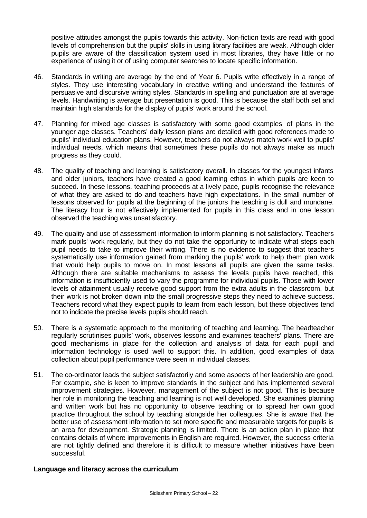positive attitudes amongst the pupils towards this activity. Non-fiction texts are read with good levels of comprehension but the pupils' skills in using library facilities are weak. Although older pupils are aware of the classification system used in most libraries, they have little or no experience of using it or of using computer searches to locate specific information.

- 46. Standards in writing are average by the end of Year 6. Pupils write effectively in a range of styles. They use interesting vocabulary in creative writing and understand the features of persuasive and discursive writing styles. Standards in spelling and punctuation are at average levels. Handwriting is average but presentation is good. This is because the staff both set and maintain high standards for the display of pupils' work around the school.
- 47. Planning for mixed age classes is satisfactory with some good examples of plans in the younger age classes. Teachers' daily lesson plans are detailed with good references made to pupils' individual education plans. However, teachers do not always match work well to pupils' individual needs, which means that sometimes these pupils do not always make as much progress as they could.
- 48. The quality of teaching and learning is satisfactory overall. In classes for the youngest infants and older juniors, teachers have created a good learning ethos in which pupils are keen to succeed. In these lessons, teaching proceeds at a lively pace, pupils recognise the relevance of what they are asked to do and teachers have high expectations. In the small number of lessons observed for pupils at the beginning of the juniors the teaching is dull and mundane. The literacy hour is not effectively implemented for pupils in this class and in one lesson observed the teaching was unsatisfactory.
- 49. The quality and use of assessment information to inform planning is not satisfactory. Teachers mark pupils' work regularly, but they do not take the opportunity to indicate what steps each pupil needs to take to improve their writing. There is no evidence to suggest that teachers systematically use information gained from marking the pupils' work to help them plan work that would help pupils to move on. In most lessons all pupils are given the same tasks. Although there are suitable mechanisms to assess the levels pupils have reached, this information is insufficiently used to vary the programme for individual pupils. Those with lower levels of attainment usually receive good support from the extra adults in the classroom, but their work is not broken down into the small progressive steps they need to achieve success. Teachers record what they expect pupils to learn from each lesson, but these objectives tend not to indicate the precise levels pupils should reach.
- 50. There is a systematic approach to the monitoring of teaching and learning. The headteacher regularly scrutinises pupils' work, observes lessons and examines teachers' plans. There are good mechanisms in place for the collection and analysis of data for each pupil and information technology is used well to support this. In addition, good examples of data collection about pupil performance were seen in individual classes.
- 51. The co-ordinator leads the subject satisfactorily and some aspects of her leadership are good. For example, she is keen to improve standards in the subject and has implemented several improvement strategies. However, management of the subject is not good. This is because her role in monitoring the teaching and learning is not well developed. She examines planning and written work but has no opportunity to observe teaching or to spread her own good practice throughout the school by teaching alongside her colleagues. She is aware that the better use of assessment information to set more specific and measurable targets for pupils is an area for development. Strategic planning is limited. There is an action plan in place that contains details of where improvements in English are required. However, the success criteria are not tightly defined and therefore it is difficult to measure whether initiatives have been successful.

# **Language and literacy across the curriculum**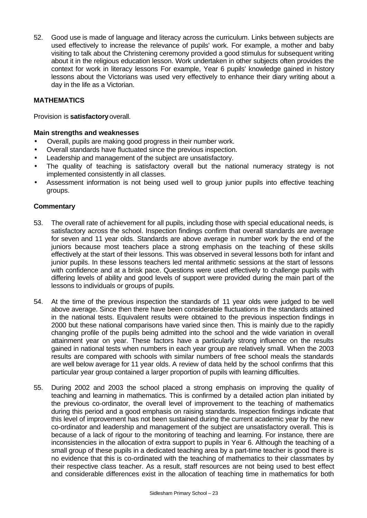52. Good use is made of language and literacy across the curriculum. Links between subjects are used effectively to increase the relevance of pupils' work. For example, a mother and baby visiting to talk about the Christening ceremony provided a good stimulus for subsequent writing about it in the religious education lesson. Work undertaken in other subjects often provides the context for work in literacy lessons For example, Year 6 pupils' knowledge gained in history lessons about the Victorians was used very effectively to enhance their diary writing about a day in the life as a Victorian.

# **MATHEMATICS**

Provision is **satisfactory** overall.

#### **Main strengths and weaknesses**

- Overall, pupils are making good progress in their number work.
- Overall standards have fluctuated since the previous inspection.
- Leadership and management of the subject are unsatisfactory.
- The quality of teaching is satisfactory overall but the national numeracy strategy is not implemented consistently in all classes.
- Assessment information is not being used well to group junior pupils into effective teaching groups.

- 53. The overall rate of achievement for all pupils, including those with special educational needs, is satisfactory across the school. Inspection findings confirm that overall standards are average for seven and 11 year olds. Standards are above average in number work by the end of the juniors because most teachers place a strong emphasis on the teaching of these skills effectively at the start of their lessons. This was observed in several lessons both for infant and junior pupils. In these lessons teachers led mental arithmetic sessions at the start of lessons with confidence and at a brisk pace. Questions were used effectively to challenge pupils with differing levels of ability and good levels of support were provided during the main part of the lessons to individuals or groups of pupils.
- 54. At the time of the previous inspection the standards of 11 year olds were judged to be well above average. Since then there have been considerable fluctuations in the standards attained in the national tests. Equivalent results were obtained to the previous inspection findings in 2000 but these national comparisons have varied since then. This is mainly due to the rapidly changing profile of the pupils being admitted into the school and the wide variation in overall attainment year on year. These factors have a particularly strong influence on the results gained in national tests when numbers in each year group are relatively small. When the 2003 results are compared with schools with similar numbers of free school meals the standards are well below average for 11 year olds. A review of data held by the school confirms that this particular year group contained a larger proportion of pupils with learning difficulties.
- 55. During 2002 and 2003 the school placed a strong emphasis on improving the quality of teaching and learning in mathematics. This is confirmed by a detailed action plan initiated by the previous co-ordinator, the overall level of improvement to the teaching of mathematics during this period and a good emphasis on raising standards. Inspection findings indicate that this level of improvement has not been sustained during the current academic year by the new co-ordinator and leadership and management of the subject are unsatisfactory overall. This is because of a lack of rigour to the monitoring of teaching and learning. For instance, there are inconsistencies in the allocation of extra support to pupils in Year 6. Although the teaching of a small group of these pupils in a dedicated teaching area by a part-time teacher is good there is no evidence that this is co-ordinated with the teaching of mathematics to their classmates by their respective class teacher. As a result, staff resources are not being used to best effect and considerable differences exist in the allocation of teaching time in mathematics for both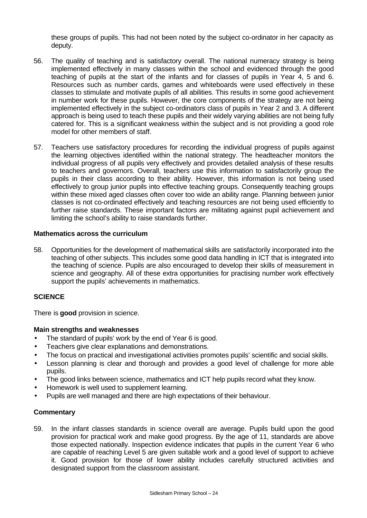these groups of pupils. This had not been noted by the subject co-ordinator in her capacity as deputy.

- 56. The quality of teaching and is satisfactory overall. The national numeracy strategy is being implemented effectively in many classes within the school and evidenced through the good teaching of pupils at the start of the infants and for classes of pupils in Year 4, 5 and 6. Resources such as number cards, games and whiteboards were used effectively in these classes to stimulate and motivate pupils of all abilities. This results in some good achievement in number work for these pupils. However, the core components of the strategy are not being implemented effectively in the subject co-ordinators class of pupils in Year 2 and 3. A different approach is being used to teach these pupils and their widely varying abilities are not being fully catered for. This is a significant weakness within the subject and is not providing a good role model for other members of staff.
- 57. Teachers use satisfactory procedures for recording the individual progress of pupils against the learning objectives identified within the national strategy. The headteacher monitors the individual progress of all pupils very effectively and provides detailed analysis of these results to teachers and governors. Overall, teachers use this information to satisfactorily group the pupils in their class according to their ability. However, this information is not being used effectively to group junior pupils into effective teaching groups. Consequently teaching groups within these mixed aged classes often cover too wide an ability range. Planning between junior classes is not co-ordinated effectively and teaching resources are not being used efficiently to further raise standards. These important factors are militating against pupil achievement and limiting the school's ability to raise standards further.

# **Mathematics across the curriculum**

58. Opportunities for the development of mathematical skills are satisfactorily incorporated into the teaching of other subjects. This includes some good data handling in ICT that is integrated into the teaching of science. Pupils are also encouraged to develop their skills of measurement in science and geography. All of these extra opportunities for practising number work effectively support the pupils' achievements in mathematics.

# **SCIENCE**

There is **good** provision in science.

# **Main strengths and weaknesses**

- The standard of pupils' work by the end of Year 6 is good.
- Teachers give clear explanations and demonstrations.
- The focus on practical and investigational activities promotes pupils' scientific and social skills.
- Lesson planning is clear and thorough and provides a good level of challenge for more able pupils.
- The good links between science, mathematics and ICT help pupils record what they know.
- Homework is well used to supplement learning.
- Pupils are well managed and there are high expectations of their behaviour.

#### **Commentary**

59. In the infant classes standards in science overall are average. Pupils build upon the good provision for practical work and make good progress. By the age of 11, standards are above those expected nationally. Inspection evidence indicates that pupils in the current Year 6 who are capable of reaching Level 5 are given suitable work and a good level of support to achieve it. Good provision for those of lower ability includes carefully structured activities and designated support from the classroom assistant.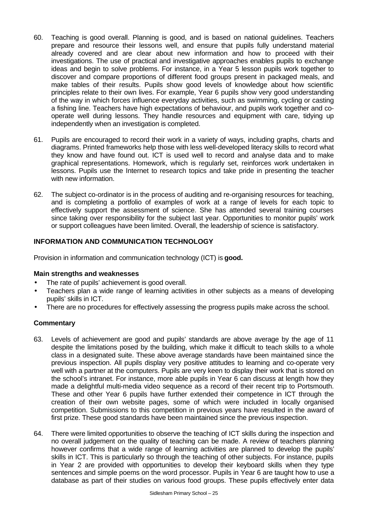- 60. Teaching is good overall. Planning is good, and is based on national guidelines. Teachers prepare and resource their lessons well, and ensure that pupils fully understand material already covered and are clear about new information and how to proceed with their investigations. The use of practical and investigative approaches enables pupils to exchange ideas and begin to solve problems. For instance, in a Year 5 lesson pupils work together to discover and compare proportions of different food groups present in packaged meals, and make tables of their results. Pupils show good levels of knowledge about how scientific principles relate to their own lives. For example, Year 6 pupils show very good understanding of the way in which forces influence everyday activities, such as swimming, cycling or casting a fishing line. Teachers have high expectations of behaviour, and pupils work together and cooperate well during lessons. They handle resources and equipment with care, tidying up independently when an investigation is completed.
- 61. Pupils are encouraged to record their work in a variety of ways, including graphs, charts and diagrams. Printed frameworks help those with less well-developed literacy skills to record what they know and have found out. ICT is used well to record and analyse data and to make graphical representations. Homework, which is regularly set, reinforces work undertaken in lessons. Pupils use the Internet to research topics and take pride in presenting the teacher with new information.
- 62. The subject co-ordinator is in the process of auditing and re-organising resources for teaching, and is completing a portfolio of examples of work at a range of levels for each topic to effectively support the assessment of science. She has attended several training courses since taking over responsibility for the subject last year. Opportunities to monitor pupils' work or support colleagues have been limited. Overall, the leadership of science is satisfactory.

# **INFORMATION AND COMMUNICATION TECHNOLOGY**

Provision in information and communication technology (ICT) is **good.**

#### **Main strengths and weaknesses**

- The rate of pupils' achievement is good overall.
- Teachers plan a wide range of learning activities in other subjects as a means of developing pupils' skills in ICT.
- There are no procedures for effectively assessing the progress pupils make across the school.

- 63. Levels of achievement are good and pupils' standards are above average by the age of 11 despite the limitations posed by the building, which make it difficult to teach skills to a whole class in a designated suite. These above average standards have been maintained since the previous inspection. All pupils display very positive attitudes to learning and co-operate very well with a partner at the computers. Pupils are very keen to display their work that is stored on the school's intranet. For instance, more able pupils in Year 6 can discuss at length how they made a delightful multi-media video sequence as a record of their recent trip to Portsmouth. These and other Year 6 pupils have further extended their competence in ICT through the creation of their own website pages, some of which were included in locally organised competition. Submissions to this competition in previous years have resulted in the award of first prize. These good standards have been maintained since the previous inspection.
- 64. There were limited opportunities to observe the teaching of ICT skills during the inspection and no overall judgement on the quality of teaching can be made. A review of teachers planning however confirms that a wide range of learning activities are planned to develop the pupils' skills in ICT. This is particularly so through the teaching of other subjects. For instance, pupils in Year 2 are provided with opportunities to develop their keyboard skills when they type sentences and simple poems on the word processor. Pupils in Year 6 are taught how to use a database as part of their studies on various food groups. These pupils effectively enter data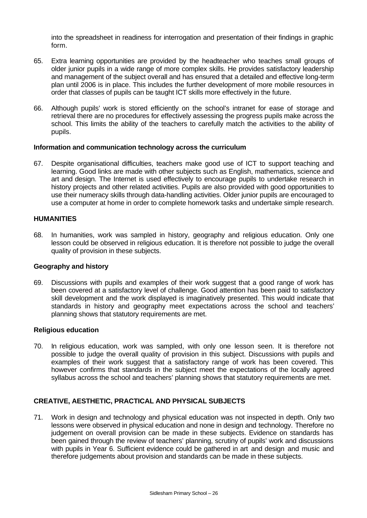into the spreadsheet in readiness for interrogation and presentation of their findings in graphic form.

- 65. Extra learning opportunities are provided by the headteacher who teaches small groups of older junior pupils in a wide range of more complex skills. He provides satisfactory leadership and management of the subject overall and has ensured that a detailed and effective long-term plan until 2006 is in place. This includes the further development of more mobile resources in order that classes of pupils can be taught ICT skills more effectively in the future.
- 66. Although pupils' work is stored efficiently on the school's intranet for ease of storage and retrieval there are no procedures for effectively assessing the progress pupils make across the school. This limits the ability of the teachers to carefully match the activities to the ability of pupils.

#### **Information and communication technology across the curriculum**

67. Despite organisational difficulties, teachers make good use of ICT to support teaching and learning. Good links are made with other subjects such as English, mathematics, science and art and design. The Internet is used effectively to encourage pupils to undertake research in history projects and other related activities. Pupils are also provided with good opportunities to use their numeracy skills through data-handling activities. Older junior pupils are encouraged to use a computer at home in order to complete homework tasks and undertake simple research.

# **HUMANITIES**

68. In humanities, work was sampled in history, geography and religious education. Only one lesson could be observed in religious education. It is therefore not possible to judge the overall quality of provision in these subjects.

#### **Geography and history**

69. Discussions with pupils and examples of their work suggest that a good range of work has been covered at a satisfactory level of challenge. Good attention has been paid to satisfactory skill development and the work displayed is imaginatively presented. This would indicate that standards in history and geography meet expectations across the school and teachers' planning shows that statutory requirements are met.

#### **Religious education**

70. In religious education, work was sampled, with only one lesson seen. It is therefore not possible to judge the overall quality of provision in this subject. Discussions with pupils and examples of their work suggest that a satisfactory range of work has been covered. This however confirms that standards in the subject meet the expectations of the locally agreed syllabus across the school and teachers' planning shows that statutory requirements are met.

# **CREATIVE, AESTHETIC, PRACTICAL AND PHYSICAL SUBJECTS**

71. Work in design and technology and physical education was not inspected in depth. Only two lessons were observed in physical education and none in design and technology. Therefore no judgement on overall provision can be made in these subjects. Evidence on standards has been gained through the review of teachers' planning, scrutiny of pupils' work and discussions with pupils in Year 6. Sufficient evidence could be gathered in art and design and music and therefore judgements about provision and standards can be made in these subjects.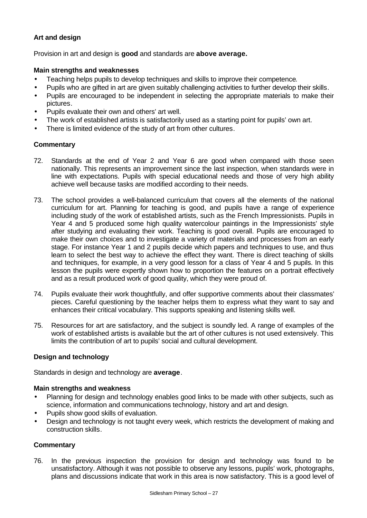# **Art and design**

Provision in art and design is **good** and standards are **above average.**

#### **Main strengths and weaknesses**

- Teaching helps pupils to develop techniques and skills to improve their competence.
- Pupils who are gifted in art are given suitably challenging activities to further develop their skills.
- Pupils are encouraged to be independent in selecting the appropriate materials to make their pictures.
- Pupils evaluate their own and others' art well.
- The work of established artists is satisfactorily used as a starting point for pupils' own art.
- There is limited evidence of the study of art from other cultures.

#### **Commentary**

- 72. Standards at the end of Year 2 and Year 6 are good when compared with those seen nationally. This represents an improvement since the last inspection, when standards were in line with expectations. Pupils with special educational needs and those of very high ability achieve well because tasks are modified according to their needs.
- 73. The school provides a well-balanced curriculum that covers all the elements of the national curriculum for art. Planning for teaching is good, and pupils have a range of experience including study of the work of established artists, such as the French Impressionists. Pupils in Year 4 and 5 produced some high quality watercolour paintings in the Impressionists' style after studying and evaluating their work. Teaching is good overall. Pupils are encouraged to make their own choices and to investigate a variety of materials and processes from an early stage. For instance Year 1 and 2 pupils decide which papers and techniques to use, and thus learn to select the best way to achieve the effect they want. There is direct teaching of skills and techniques, for example, in a very good lesson for a class of Year 4 and 5 pupils. In this lesson the pupils were expertly shown how to proportion the features on a portrait effectively and as a result produced work of good quality, which they were proud of.
- 74. Pupils evaluate their work thoughtfully, and offer supportive comments about their classmates' pieces. Careful questioning by the teacher helps them to express what they want to say and enhances their critical vocabulary. This supports speaking and listening skills well.
- 75. Resources for art are satisfactory, and the subject is soundly led. A range of examples of the work of established artists is available but the art of other cultures is not used extensively. This limits the contribution of art to pupils' social and cultural development.

# **Design and technology**

Standards in design and technology are **average**.

#### **Main strengths and weakness**

- Planning for design and technology enables good links to be made with other subjects, such as science, information and communications technology, history and art and design.
- Pupils show good skills of evaluation.
- Design and technology is not taught every week, which restricts the development of making and construction skills.

#### **Commentary**

76. In the previous inspection the provision for design and technology was found to be unsatisfactory. Although it was not possible to observe any lessons, pupils' work, photographs, plans and discussions indicate that work in this area is now satisfactory. This is a good level of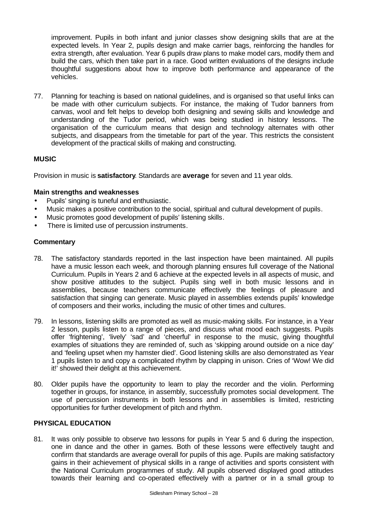improvement. Pupils in both infant and junior classes show designing skills that are at the expected levels. In Year 2, pupils design and make carrier bags, reinforcing the handles for extra strength, after evaluation. Year 6 pupils draw plans to make model cars, modify them and build the cars, which then take part in a race. Good written evaluations of the designs include thoughtful suggestions about how to improve both performance and appearance of the vehicles.

77. Planning for teaching is based on national guidelines, and is organised so that useful links can be made with other curriculum subjects. For instance, the making of Tudor banners from canvas, wool and felt helps to develop both designing and sewing skills and knowledge and understanding of the Tudor period, which was being studied in history lessons. The organisation of the curriculum means that design and technology alternates with other subjects, and disappears from the timetable for part of the year. This restricts the consistent development of the practical skills of making and constructing.

# **MUSIC**

Provision in music is **satisfactory**. Standards are **average** for seven and 11 year olds.

# **Main strengths and weaknesses**

- Pupils' singing is tuneful and enthusiastic.
- Music makes a positive contribution to the social, spiritual and cultural development of pupils.
- Music promotes good development of pupils' listening skills.
- There is limited use of percussion instruments.

#### **Commentary**

- 78. The satisfactory standards reported in the last inspection have been maintained. All pupils have a music lesson each week, and thorough planning ensures full coverage of the National Curriculum. Pupils in Years 2 and 6 achieve at the expected levels in all aspects of music, and show positive attitudes to the subject. Pupils sing well in both music lessons and in assemblies, because teachers communicate effectively the feelings of pleasure and satisfaction that singing can generate. Music played in assemblies extends pupils' knowledge of composers and their works, including the music of other times and cultures.
- 79. In lessons, listening skills are promoted as well as music-making skills. For instance, in a Year 2 lesson, pupils listen to a range of pieces, and discuss what mood each suggests. Pupils offer 'frightening', 'lively' 'sad' and 'cheerful' in response to the music, giving thoughtful examples of situations they are reminded of, such as 'skipping around outside on a nice day' and 'feeling upset when my hamster died'. Good listening skills are also demonstrated as Year 1 pupils listen to and copy a complicated rhythm by clapping in unison. Cries of 'Wow! We did it!' showed their delight at this achievement.
- 80. Older pupils have the opportunity to learn to play the recorder and the violin. Performing together in groups, for instance, in assembly, successfully promotes social development. The use of percussion instruments in both lessons and in assemblies is limited, restricting opportunities for further development of pitch and rhythm.

#### **PHYSICAL EDUCATION**

81. It was only possible to observe two lessons for pupils in Year 5 and 6 during the inspection, one in dance and the other in games. Both of these lessons were effectively taught and confirm that standards are average overall for pupils of this age. Pupils are making satisfactory gains in their achievement of physical skills in a range of activities and sports consistent with the National Curriculum programmes of study. All pupils observed displayed good attitudes towards their learning and co-operated effectively with a partner or in a small group to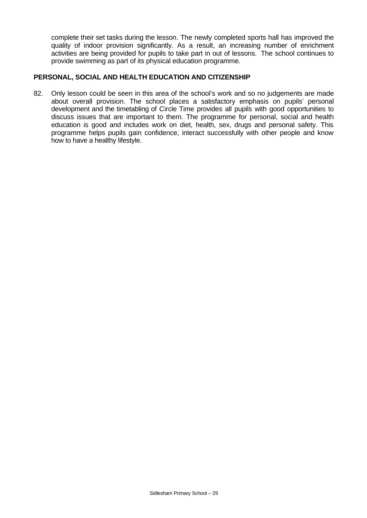complete their set tasks during the lesson. The newly completed sports hall has improved the quality of indoor provision significantly. As a result, an increasing number of enrichment activities are being provided for pupils to take part in out of lessons. The school continues to provide swimming as part of its physical education programme.

#### **PERSONAL, SOCIAL AND HEALTH EDUCATION AND CITIZENSHIP**

82. Only lesson could be seen in this area of the school's work and so no judgements are made about overall provision. The school places a satisfactory emphasis on pupils' personal development and the timetabling of Circle Time provides all pupils with good opportunities to discuss issues that are important to them. The programme for personal, social and health education is good and includes work on diet, health, sex, drugs and personal safety. This programme helps pupils gain confidence, interact successfully with other people and know how to have a healthy lifestyle.